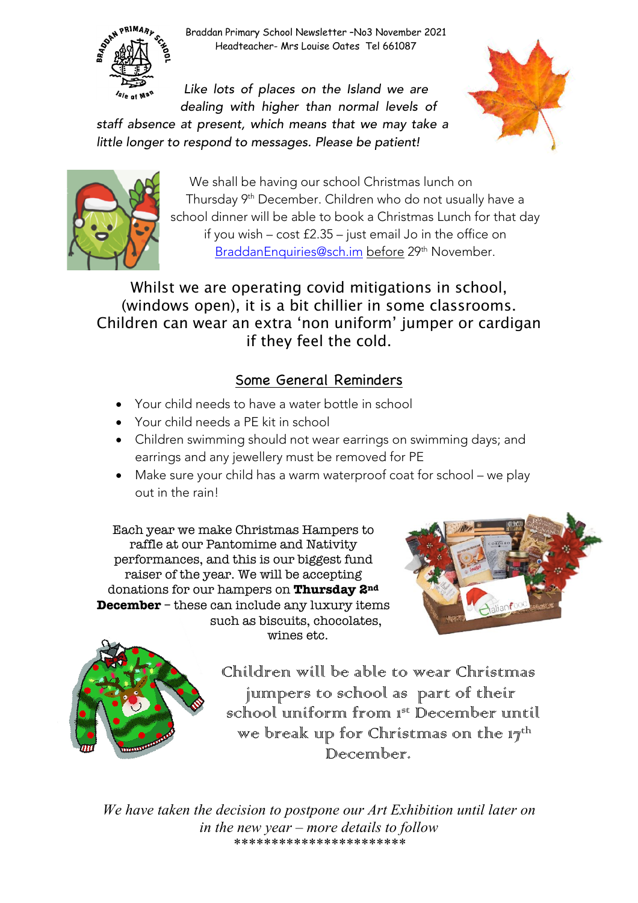Braddan Primary School Newsletter –No3 November 2021 Headteacher- Mrs Louise Oates Tel 661087

*Like lots of places on the Island we are dealing with higher than normal levels of staff absence at present, which means that we may take a little longer to respond to messages. Please be patient!*





**SORN PRIMARY** 

We shall be having our school Christmas lunch on Thursday 9th December. Children who do not usually have a school dinner will be able to book a Christmas Lunch for that day if you wish – cost £2.35 – just email Jo in the office on BraddanEnquiries@sch.im before 29<sup>th</sup> November.

Whilst we are operating covid mitigations in school, (windows open), it is a bit chillier in some classrooms. Children can wear an extra 'non uniform' jumper or cardigan if they feel the cold.

## Some General Reminders

- Your child needs to have a water bottle in school
- Your child needs a PE kit in school
- Children swimming should not wear earrings on swimming days; and earrings and any jewellery must be removed for PE
- Make sure your child has a warm waterproof coat for school we play out in the rain!

Each year we make Christmas Hampers to raffle at our Pantomime and Nativity performances, and this is our biggest fund raiser of the year. We will be accepting donations for our hampers on **Thursday 2nd December** – these can include any luxury items such as biscuits, chocolates, wines etc.





Children will be able to wear Christmas jumpers to school as part of their school uniform from  $1^{st}$  December until we break up for Christmas on the  $17<sup>th</sup>$ December.

*We have taken the decision to postpone our Art Exhibition until later on in the new year – more details to follow \*\*\*\*\*\*\*\*\*\*\*\*\*\*\*\*\*\*\*\*\*\*\**